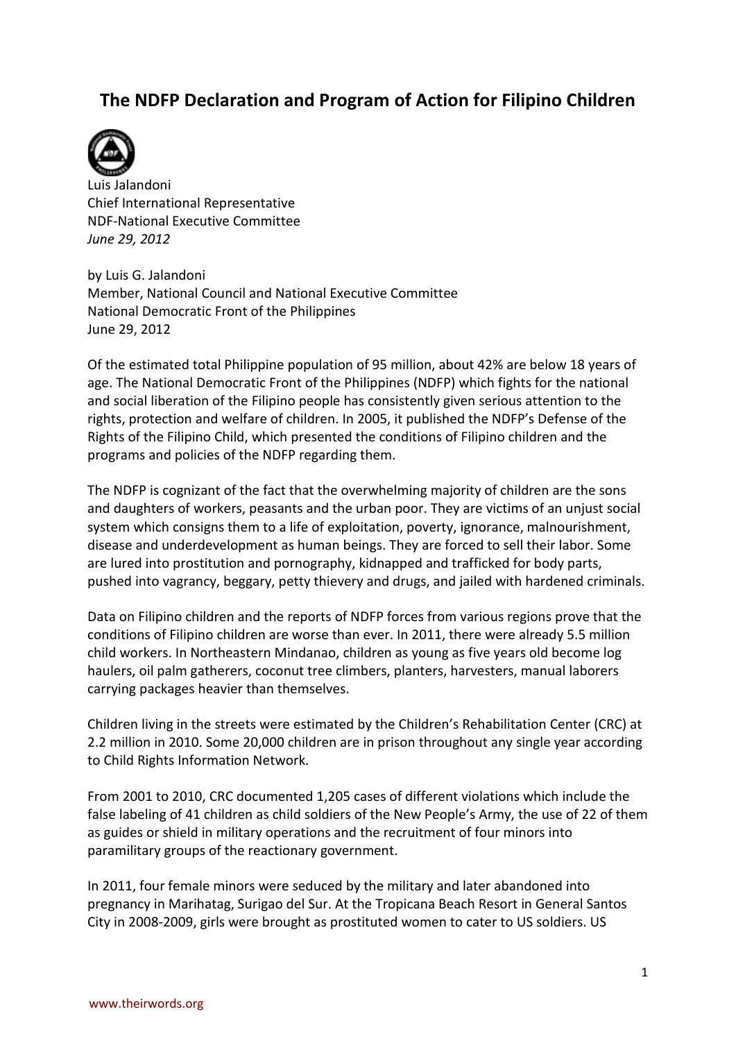# **The NDFP Declaration and Program of Action for Filipino Children**



Luis Jalandoni Chief International Representative NDF-National Executive Committee *June 29, 2012*

by Luis G. Jalandoni Member, National Council and National Executive Committee National Democratic Front of the Philippines June 29, 2012

Of the estimated total Philippine population of 95 million, about 42% are below 18 years of age. The National Democratic Front of the Philippines (NDFP) which fights for the national and social liberation of the Filipino people has consistently given serious attention to the rights, protection and welfare of children. In 2005, it published the NDFP's Defense of the Rights of the Filipino Child, which presented the conditions of Filipino children and the programs and policies of the NDFP regarding them.

The NDFP is cognizant of the fact that the overwhelming majority of children are the sons and daughters of workers, peasants and the urban poor. They are victims of an unjust social system which consigns them to a life of exploitation, poverty, ignorance, malnourishment, disease and underdevelopment as human beings. They are forced to sell their labor. Some are lured into prostitution and pornography, kidnapped and trafficked for body parts, pushed into vagrancy, beggary, petty thievery and drugs, and jailed with hardened criminals.

Data on Filipino children and the reports of NDFP forces from various regions prove that the conditions of Filipino children are worse than ever. In 2011, there were already 5.5 million child workers. In Northeastern Mindanao, children as young as five years old become log haulers, oil palm gatherers, coconut tree climbers, planters, harvesters, manual laborers carrying packages heavier than themselves.

Children living in the streets were estimated by the Children's Rehabilitation Center (CRC) at 2.2 million in 2010. Some 20,000 children are in prison throughout any single year according to Child Rights Information Network.

From 2001 to 2010, CRC documented 1,205 cases of different violations which include the false labeling of 41 children as child soldiers of the New People's Army, the use of 22 of them as guides or shield in military operations and the recruitment of four minors into paramilitary groups of the reactionary government.

In 2011, four female minors were seduced by the military and later abandoned into pregnancy in Marihatag, Surigao del Sur. At the Tropicana Beach Resort in General Santos City in 2008-2009, girls were brought as prostituted women to cater to US soldiers. US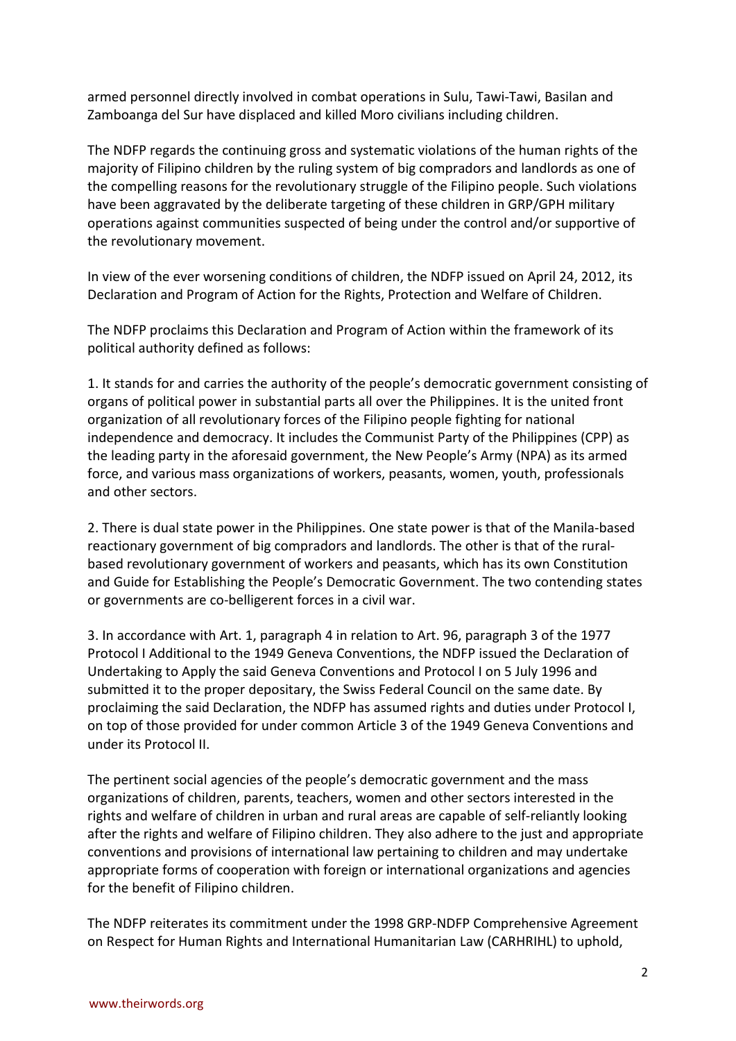armed personnel directly involved in combat operations in Sulu, Tawi-Tawi, Basilan and Zamboanga del Sur have displaced and killed Moro civilians including children.

The NDFP regards the continuing gross and systematic violations of the human rights of the majority of Filipino children by the ruling system of big compradors and landlords as one of the compelling reasons for the revolutionary struggle of the Filipino people. Such violations have been aggravated by the deliberate targeting of these children in GRP/GPH military operations against communities suspected of being under the control and/or supportive of the revolutionary movement.

In view of the ever worsening conditions of children, the NDFP issued on April 24, 2012, its Declaration and Program of Action for the Rights, Protection and Welfare of Children.

The NDFP proclaims this Declaration and Program of Action within the framework of its political authority defined as follows:

1. It stands for and carries the authority of the people's democratic government consisting of organs of political power in substantial parts all over the Philippines. It is the united front organization of all revolutionary forces of the Filipino people fighting for national independence and democracy. It includes the Communist Party of the Philippines (CPP) as the leading party in the aforesaid government, the New People's Army (NPA) as its armed force, and various mass organizations of workers, peasants, women, youth, professionals and other sectors.

2. There is dual state power in the Philippines. One state power is that of the Manila-based reactionary government of big compradors and landlords. The other is that of the ruralbased revolutionary government of workers and peasants, which has its own Constitution and Guide for Establishing the People's Democratic Government. The two contending states or governments are co-belligerent forces in a civil war.

3. In accordance with Art. 1, paragraph 4 in relation to Art. 96, paragraph 3 of the 1977 Protocol I Additional to the 1949 Geneva Conventions, the NDFP issued the Declaration of Undertaking to Apply the said Geneva Conventions and Protocol I on 5 July 1996 and submitted it to the proper depositary, the Swiss Federal Council on the same date. By proclaiming the said Declaration, the NDFP has assumed rights and duties under Protocol I, on top of those provided for under common Article 3 of the 1949 Geneva Conventions and under its Protocol II.

The pertinent social agencies of the people's democratic government and the mass organizations of children, parents, teachers, women and other sectors interested in the rights and welfare of children in urban and rural areas are capable of self-reliantly looking after the rights and welfare of Filipino children. They also adhere to the just and appropriate conventions and provisions of international law pertaining to children and may undertake appropriate forms of cooperation with foreign or international organizations and agencies for the benefit of Filipino children.

The NDFP reiterates its commitment under the 1998 GRP-NDFP Comprehensive Agreement on Respect for Human Rights and International Humanitarian Law (CARHRIHL) to uphold,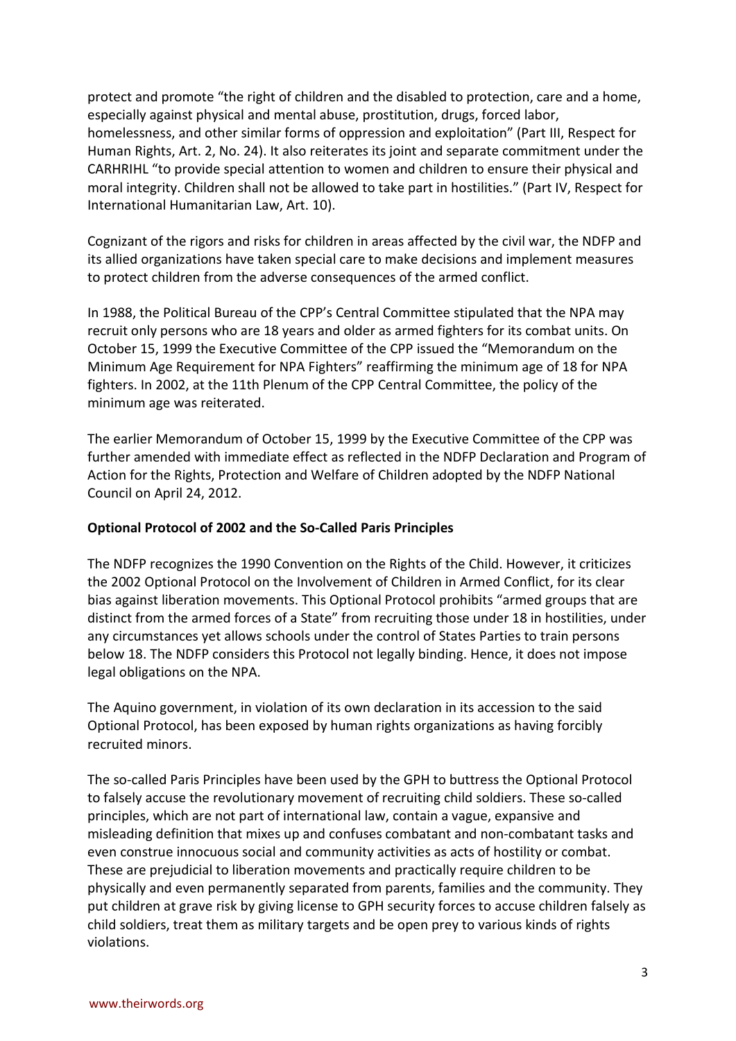protect and promote "the right of children and the disabled to protection, care and a home, especially against physical and mental abuse, prostitution, drugs, forced labor, homelessness, and other similar forms of oppression and exploitation" (Part III, Respect for Human Rights, Art. 2, No. 24). It also reiterates its joint and separate commitment under the CARHRIHL "to provide special attention to women and children to ensure their physical and moral integrity. Children shall not be allowed to take part in hostilities." (Part IV, Respect for International Humanitarian Law, Art. 10).

Cognizant of the rigors and risks for children in areas affected by the civil war, the NDFP and its allied organizations have taken special care to make decisions and implement measures to protect children from the adverse consequences of the armed conflict.

In 1988, the Political Bureau of the CPP's Central Committee stipulated that the NPA may recruit only persons who are 18 years and older as armed fighters for its combat units. On October 15, 1999 the Executive Committee of the CPP issued the "Memorandum on the Minimum Age Requirement for NPA Fighters" reaffirming the minimum age of 18 for NPA fighters. In 2002, at the 11th Plenum of the CPP Central Committee, the policy of the minimum age was reiterated.

The earlier Memorandum of October 15, 1999 by the Executive Committee of the CPP was further amended with immediate effect as reflected in the NDFP Declaration and Program of Action for the Rights, Protection and Welfare of Children adopted by the NDFP National Council on April 24, 2012.

### **Optional Protocol of 2002 and the So-Called Paris Principles**

The NDFP recognizes the 1990 Convention on the Rights of the Child. However, it criticizes the 2002 Optional Protocol on the Involvement of Children in Armed Conflict, for its clear bias against liberation movements. This Optional Protocol prohibits "armed groups that are distinct from the armed forces of a State" from recruiting those under 18 in hostilities, under any circumstances yet allows schools under the control of States Parties to train persons below 18. The NDFP considers this Protocol not legally binding. Hence, it does not impose legal obligations on the NPA.

The Aquino government, in violation of its own declaration in its accession to the said Optional Protocol, has been exposed by human rights organizations as having forcibly recruited minors.

The so-called Paris Principles have been used by the GPH to buttress the Optional Protocol to falsely accuse the revolutionary movement of recruiting child soldiers. These so-called principles, which are not part of international law, contain a vague, expansive and misleading definition that mixes up and confuses combatant and non-combatant tasks and even construe innocuous social and community activities as acts of hostility or combat. These are prejudicial to liberation movements and practically require children to be physically and even permanently separated from parents, families and the community. They put children at grave risk by giving license to GPH security forces to accuse children falsely as child soldiers, treat them as military targets and be open prey to various kinds of rights violations.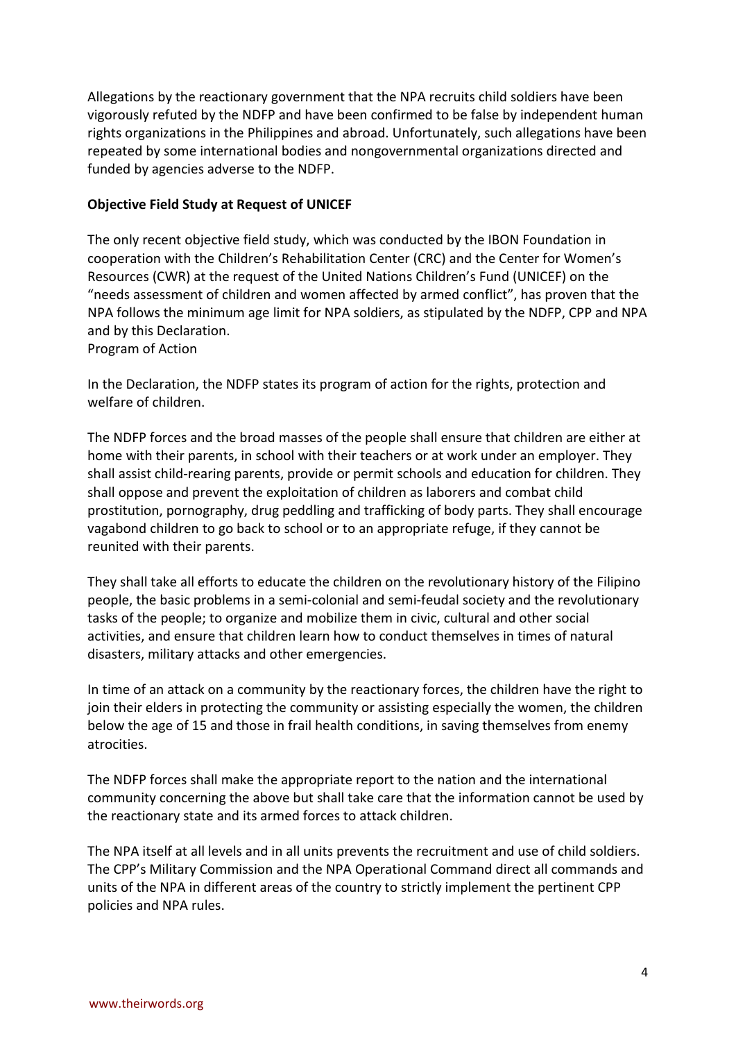Allegations by the reactionary government that the NPA recruits child soldiers have been vigorously refuted by the NDFP and have been confirmed to be false by independent human rights organizations in the Philippines and abroad. Unfortunately, such allegations have been repeated by some international bodies and nongovernmental organizations directed and funded by agencies adverse to the NDFP.

## **Objective Field Study at Request of UNICEF**

The only recent objective field study, which was conducted by the IBON Foundation in cooperation with the Children's Rehabilitation Center (CRC) and the Center for Women's Resources (CWR) at the request of the United Nations Children's Fund (UNICEF) on the "needs assessment of children and women affected by armed conflict", has proven that the NPA follows the minimum age limit for NPA soldiers, as stipulated by the NDFP, CPP and NPA and by this Declaration.

Program of Action

In the Declaration, the NDFP states its program of action for the rights, protection and welfare of children.

The NDFP forces and the broad masses of the people shall ensure that children are either at home with their parents, in school with their teachers or at work under an employer. They shall assist child-rearing parents, provide or permit schools and education for children. They shall oppose and prevent the exploitation of children as laborers and combat child prostitution, pornography, drug peddling and trafficking of body parts. They shall encourage vagabond children to go back to school or to an appropriate refuge, if they cannot be reunited with their parents.

They shall take all efforts to educate the children on the revolutionary history of the Filipino people, the basic problems in a semi-colonial and semi-feudal society and the revolutionary tasks of the people; to organize and mobilize them in civic, cultural and other social activities, and ensure that children learn how to conduct themselves in times of natural disasters, military attacks and other emergencies.

In time of an attack on a community by the reactionary forces, the children have the right to join their elders in protecting the community or assisting especially the women, the children below the age of 15 and those in frail health conditions, in saving themselves from enemy atrocities.

The NDFP forces shall make the appropriate report to the nation and the international community concerning the above but shall take care that the information cannot be used by the reactionary state and its armed forces to attack children.

The NPA itself at all levels and in all units prevents the recruitment and use of child soldiers. The CPP's Military Commission and the NPA Operational Command direct all commands and units of the NPA in different areas of the country to strictly implement the pertinent CPP policies and NPA rules.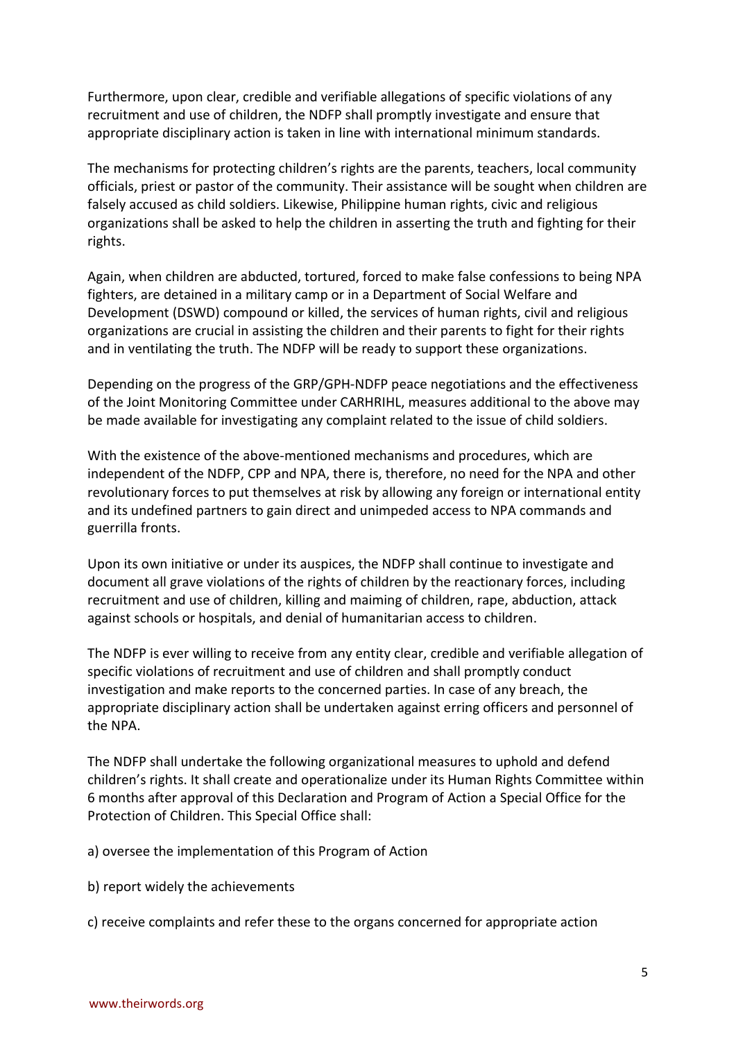Furthermore, upon clear, credible and verifiable allegations of specific violations of any recruitment and use of children, the NDFP shall promptly investigate and ensure that appropriate disciplinary action is taken in line with international minimum standards.

The mechanisms for protecting children's rights are the parents, teachers, local community officials, priest or pastor of the community. Their assistance will be sought when children are falsely accused as child soldiers. Likewise, Philippine human rights, civic and religious organizations shall be asked to help the children in asserting the truth and fighting for their rights.

Again, when children are abducted, tortured, forced to make false confessions to being NPA fighters, are detained in a military camp or in a Department of Social Welfare and Development (DSWD) compound or killed, the services of human rights, civil and religious organizations are crucial in assisting the children and their parents to fight for their rights and in ventilating the truth. The NDFP will be ready to support these organizations.

Depending on the progress of the GRP/GPH-NDFP peace negotiations and the effectiveness of the Joint Monitoring Committee under CARHRIHL, measures additional to the above may be made available for investigating any complaint related to the issue of child soldiers.

With the existence of the above-mentioned mechanisms and procedures, which are independent of the NDFP, CPP and NPA, there is, therefore, no need for the NPA and other revolutionary forces to put themselves at risk by allowing any foreign or international entity and its undefined partners to gain direct and unimpeded access to NPA commands and guerrilla fronts.

Upon its own initiative or under its auspices, the NDFP shall continue to investigate and document all grave violations of the rights of children by the reactionary forces, including recruitment and use of children, killing and maiming of children, rape, abduction, attack against schools or hospitals, and denial of humanitarian access to children.

The NDFP is ever willing to receive from any entity clear, credible and verifiable allegation of specific violations of recruitment and use of children and shall promptly conduct investigation and make reports to the concerned parties. In case of any breach, the appropriate disciplinary action shall be undertaken against erring officers and personnel of the NPA.

The NDFP shall undertake the following organizational measures to uphold and defend children's rights. It shall create and operationalize under its Human Rights Committee within 6 months after approval of this Declaration and Program of Action a Special Office for the Protection of Children. This Special Office shall:

a) oversee the implementation of this Program of Action

b) report widely the achievements

c) receive complaints and refer these to the organs concerned for appropriate action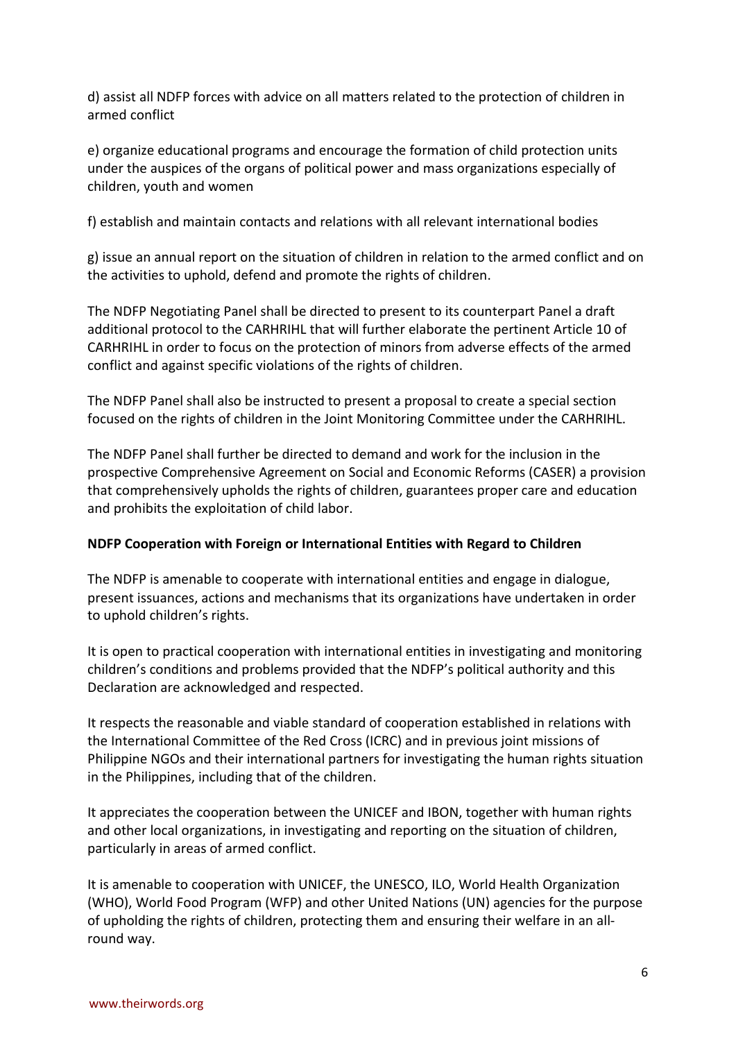d) assist all NDFP forces with advice on all matters related to the protection of children in armed conflict

e) organize educational programs and encourage the formation of child protection units under the auspices of the organs of political power and mass organizations especially of children, youth and women

f) establish and maintain contacts and relations with all relevant international bodies

g) issue an annual report on the situation of children in relation to the armed conflict and on the activities to uphold, defend and promote the rights of children.

The NDFP Negotiating Panel shall be directed to present to its counterpart Panel a draft additional protocol to the CARHRIHL that will further elaborate the pertinent Article 10 of CARHRIHL in order to focus on the protection of minors from adverse effects of the armed conflict and against specific violations of the rights of children.

The NDFP Panel shall also be instructed to present a proposal to create a special section focused on the rights of children in the Joint Monitoring Committee under the CARHRIHL.

The NDFP Panel shall further be directed to demand and work for the inclusion in the prospective Comprehensive Agreement on Social and Economic Reforms (CASER) a provision that comprehensively upholds the rights of children, guarantees proper care and education and prohibits the exploitation of child labor.

## **NDFP Cooperation with Foreign or International Entities with Regard to Children**

The NDFP is amenable to cooperate with international entities and engage in dialogue, present issuances, actions and mechanisms that its organizations have undertaken in order to uphold children's rights.

It is open to practical cooperation with international entities in investigating and monitoring children's conditions and problems provided that the NDFP's political authority and this Declaration are acknowledged and respected.

It respects the reasonable and viable standard of cooperation established in relations with the International Committee of the Red Cross (ICRC) and in previous joint missions of Philippine NGOs and their international partners for investigating the human rights situation in the Philippines, including that of the children.

It appreciates the cooperation between the UNICEF and IBON, together with human rights and other local organizations, in investigating and reporting on the situation of children, particularly in areas of armed conflict.

It is amenable to cooperation with UNICEF, the UNESCO, ILO, World Health Organization (WHO), World Food Program (WFP) and other United Nations (UN) agencies for the purpose of upholding the rights of children, protecting them and ensuring their welfare in an allround way.